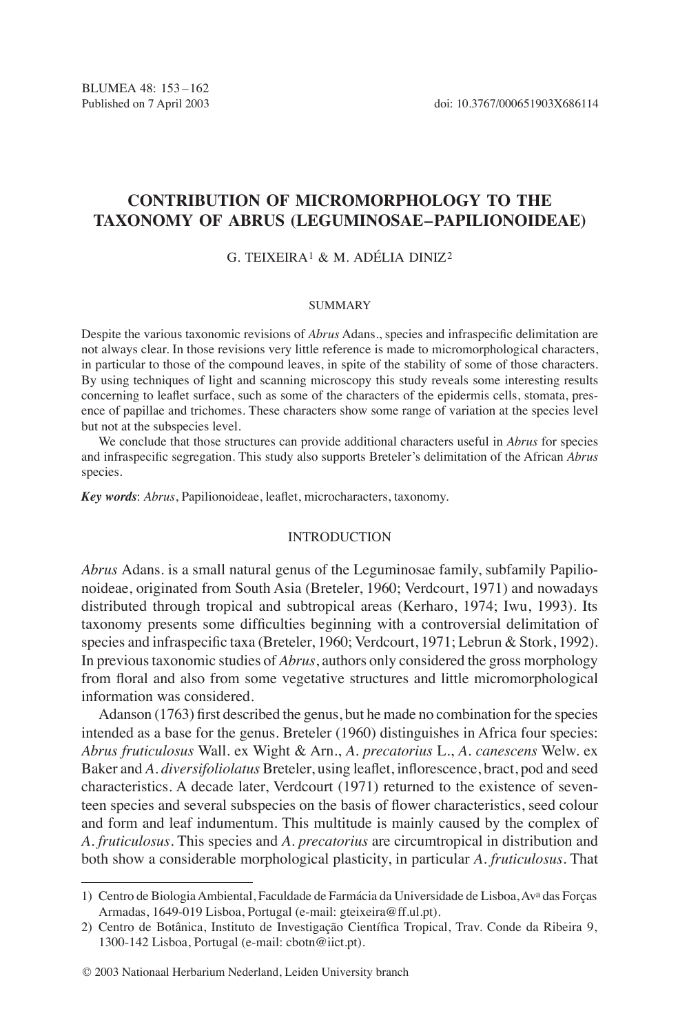# **Contribution of micromorphology to the taxonomy of Abrus (Leguminosae–Papilionoideae)**

G. Teixeira1 & M. Adélia Diniz2

#### SUMMARY

Despite the various taxonomic revisions of *Abrus* Adans., species and infraspecific delimitation are not always clear. In those revisions very little reference is made to micromorphological characters, in particular to those of the compound leaves, in spite of the stability of some of those characters. By using techniques of light and scanning microscopy this study reveals some interesting results concerning to leaflet surface, such as some of the characters of the epidermis cells, stomata, presence of papillae and trichomes. These characters show some range of variation at the species level but not at the subspecies level.

 We conclude that those structures can provide additional characters useful in *Abrus* for species and infraspecific segregation. This study also supports Breteler's delimitation of the African *Abrus* species.

*Key words*: *Abrus*, Papilionoideae, leaflet, microcharacters, taxonomy.

#### **INTRODUCTION**

*Abrus* Adans. is a small natural genus of the Leguminosae family, subfamily Papilionoideae, originated from South Asia (Breteler, 1960; Verdcourt, 1971) and nowadays distributed through tropical and subtropical areas (Kerharo, 1974; Iwu, 1993). Its taxonomy presents some difficulties beginning with a controversial delimitation of species and infraspecific taxa (Breteler, 1960; Verdcourt, 1971; Lebrun & Stork, 1992). In previous taxonomic studies of *Abrus*, authors only considered the gross morphology from floral and also from some vegetative structures and little micromorphological information was considered.

 Adanson (1763) first described the genus, but he made no combination for the species intended as a base for the genus. Breteler (1960) distinguishes in Africa four species: *Abrus fruticulosus* Wall. ex Wight & Arn., *A. precatorius* L., *A. canescens* Welw. ex Baker and *A. diversifoliolatus* Breteler, using leaflet, inflorescence, bract, pod and seed characteristics. A decade later, Verdcourt (1971) returned to the existence of seventeen species and several subspecies on the basis of flower characteristics, seed colour and form and leaf indumentum. This multitude is mainly caused by the complex of *A. fruticulosus*. This species and *A. precatorius* are circumtropical in distribution and both show a considerable morphological plasticity, in particular *A. fruticulosus*. That

<sup>1)</sup> Centro de Biologia Ambiental, Faculdade de Farmácia da Universidade de Lisboa, Ava das Forças Armadas, 1649-019 Lisboa, Portugal (e-mail: gteixeira@ff.ul.pt).

<sup>2)</sup> Centro de Botânica, Instituto de Investigação Científica Tropical, Trav. Conde da Ribeira 9, 1300-142 Lisboa, Portugal (e-mail: cbotn@iict.pt).

<sup>© 2003</sup> Nationaal Herbarium Nederland, Leiden University branch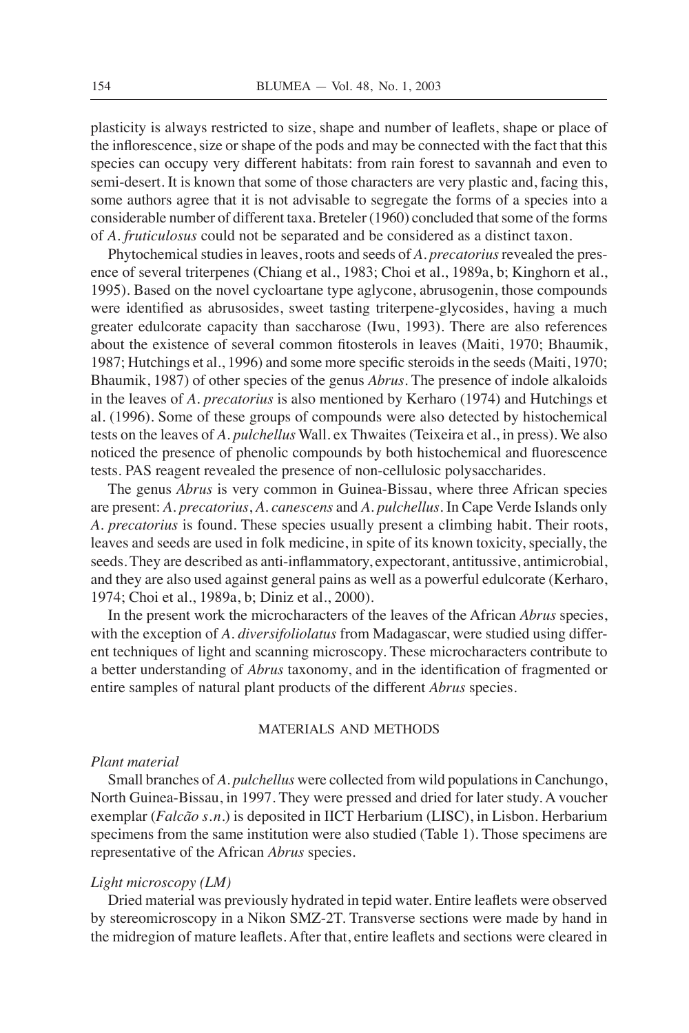plasticity is always restricted to size, shape and number of leaflets, shape or place of the inflorescence, size or shape of the pods and may be connected with the fact that this species can occupy very different habitats: from rain forest to savannah and even to semi-desert. It is known that some of those characters are very plastic and, facing this, some authors agree that it is not advisable to segregate the forms of a species into a considerable number of different taxa. Breteler (1960) concluded that some of the forms of *A. fruticulosus* could not be separated and be considered as a distinct taxon.

 Phytochemical studies in leaves, roots and seeds of *A. precatorius* revealed the presence of several triterpenes (Chiang et al., 1983; Choi et al., 1989a, b; Kinghorn et al., 1995). Based on the novel cycloartane type aglycone, abrusogenin, those compounds were identified as abrusosides, sweet tasting triterpene-glycosides, having a much greater edulcorate capacity than saccharose (Iwu, 1993). There are also references about the existence of several common fitosterols in leaves (Maiti, 1970; Bhaumik, 1987; Hutchings et al., 1996) and some more specific steroids in the seeds (Maiti, 1970; Bhaumik, 1987) of other species of the genus *Abrus*. The presence of indole alkaloids in the leaves of *A. precatorius* is also mentioned by Kerharo (1974) and Hutchings et al. (1996). Some of these groups of compounds were also detected by histochemical tests on the leaves of *A*. *pulchellus* Wall. ex Thwaites (Teixeira et al., in press). We also noticed the presence of phenolic compounds by both histochemical and fluorescence tests. PAS reagent revealed the presence of non-cellulosic polysaccharides.

The genus *Abrus* is very common in Guinea-Bissau, where three African species are present: *A. precatorius*, *A. canescens* and *A. pulchellus*. In Cape Verde Islands only *A. precatorius* is found. These species usually present a climbing habit. Their roots, leaves and seeds are used in folk medicine, in spite of its known toxicity, specially, the seeds. They are described as anti-inflammatory, expectorant, antitussive, antimicrobial, and they are also used against general pains as well as a powerful edulcorate (Kerharo, 1974; Choi et al., 1989a, b; Diniz et al., 2000).

 In the present work the microcharacters of the leaves of the African *Abrus* species, with the exception of *A. diversifoliolatus* from Madagascar, were studied using different techniques of light and scanning microscopy. These microcharacters contribute to a better understanding of *Abrus* taxonomy, and in the identification of fragmented or entire samples of natural plant products of the different *Abrus* species.

### MATERIALS AND METHODS

#### *Plant material*

 Small branches of *A. pulchellus* were collected from wild populations in Canchungo, North Guinea-Bissau, in 1997. They were pressed and dried for later study. A voucher exemplar (*Falcão s.n.*) is deposited in IICT Herbarium (LISC), in Lisbon. Herbarium specimens from the same institution were also studied (Table 1). Those specimens are representative of the African *Abrus* species.

## *Light microscopy (LM)*

 Dried material was previously hydrated in tepid water. Entire leaflets were observed by stereomicroscopy in a Nikon SMZ-2T. Transverse sections were made by hand in the midregion of mature leaflets. After that, entire leaflets and sections were cleared in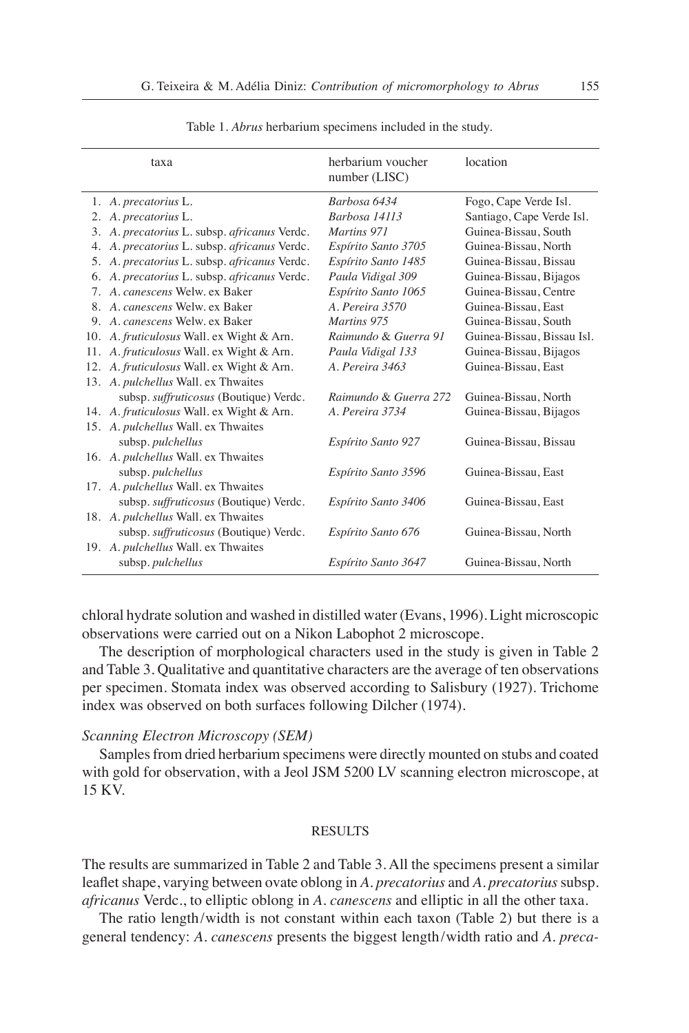| taxa                                         | herbarium voucher<br>number (LISC) | location                   |
|----------------------------------------------|------------------------------------|----------------------------|
| 1. A. precatorius L.                         | Barbosa 6434                       | Fogo, Cape Verde Isl.      |
| 2. A. precatorius L.                         | Barbosa 14113                      | Santiago, Cape Verde Isl.  |
| 3. A. precatorius L. subsp. africanus Verdc. | Martins 971                        | Guinea-Bissau, South       |
| 4. A. precatorius L. subsp. africanus Verdc. | Espírito Santo 3705                | Guinea-Bissau, North       |
| 5. A. precatorius L. subsp. africanus Verdc. | Espírito Santo 1485                | Guinea-Bissau, Bissau      |
| 6. A. precatorius L. subsp. africanus Verdc. | Paula Vidigal 309                  | Guinea-Bissau, Bijagos     |
| 7. A. canescens Welw. ex Baker               | Espírito Santo 1065                | Guinea-Bissau, Centre      |
| 8. A. canescens Welw, ex Baker               | A. Pereira 3570                    | Guinea-Bissau, East        |
| 9. A. canescens Welw. ex Baker               | Martins 975                        | Guinea-Bissau, South       |
| 10. A. fruticulosus Wall. ex Wight & Arn.    | Raimundo & Guerra 91               | Guinea-Bissau, Bissau Isl. |
| 11. A. fruticulosus Wall. ex Wight & Arn.    | Paula Vidigal 133                  | Guinea-Bissau, Bijagos     |
| 12. A. fruticulosus Wall. ex Wight & Arn.    | A. Pereira 3463                    | Guinea-Bissau, East        |
| 13. A. pulchellus Wall. ex Thwaites          |                                    |                            |
| subsp. suffruticosus (Boutique) Verdc.       | Raimundo & Guerra 272              | Guinea-Bissau, North       |
| 14. A. fruticulosus Wall. ex Wight & Arn.    | A. Pereira 3734                    | Guinea-Bissau, Bijagos     |
| 15. A. pulchellus Wall. ex Thwaites          |                                    |                            |
| subsp. pulchellus                            | Espírito Santo 927                 | Guinea-Bissau, Bissau      |
| 16. A. pulchellus Wall. ex Thwaites          |                                    |                            |
| subsp. pulchellus                            | Espírito Santo 3596                | Guinea-Bissau, East        |
| 17. A. pulchellus Wall. ex Thwaites          |                                    |                            |
| subsp. suffruticosus (Boutique) Verdc.       | Espírito Santo 3406                | Guinea-Bissau, East        |
| 18. A. pulchellus Wall. ex Thwaites          |                                    |                            |
| subsp. suffruticosus (Boutique) Verdc.       | Espírito Santo 676                 | Guinea-Bissau, North       |
| 19. A. pulchellus Wall. ex Thwaites          |                                    |                            |
| subsp. <i>pulchellus</i>                     | Espírito Santo 3647                | Guinea-Bissau, North       |

Table 1. *Abrus* herbarium specimens included in the study.

chloral hydrate solution and washed in distilled water (Evans, 1996). Light microscopic observations were carried out on a Nikon Labophot 2 microscope.

 The description of morphological characters used in the study is given in Table 2 and Table 3. Qualitative and quantitative characters are the average of ten observations per specimen. Stomata index was observed according to Salisbury (1927). Trichome index was observed on both surfaces following Dilcher (1974).

#### *Scanning Electron Microscopy (SEM)*

 Samples from dried herbarium specimens were directly mounted on stubs and coated with gold for observation, with a Jeol JSM 5200 LV scanning electron microscope, at 15 KV.

# **RESULTS**

The results are summarized in Table 2 and Table 3. All the specimens present a similar leaflet shape, varying between ovate oblong in *A. precatorius* and *A. precatorius* subsp. *africanus* Verdc., to elliptic oblong in *A. canescens* and elliptic in all the other taxa.

 The ratio length/width is not constant within each taxon (Table 2) but there is a general tendency: *A. canescens* presents the biggest length/width ratio and *A. preca-*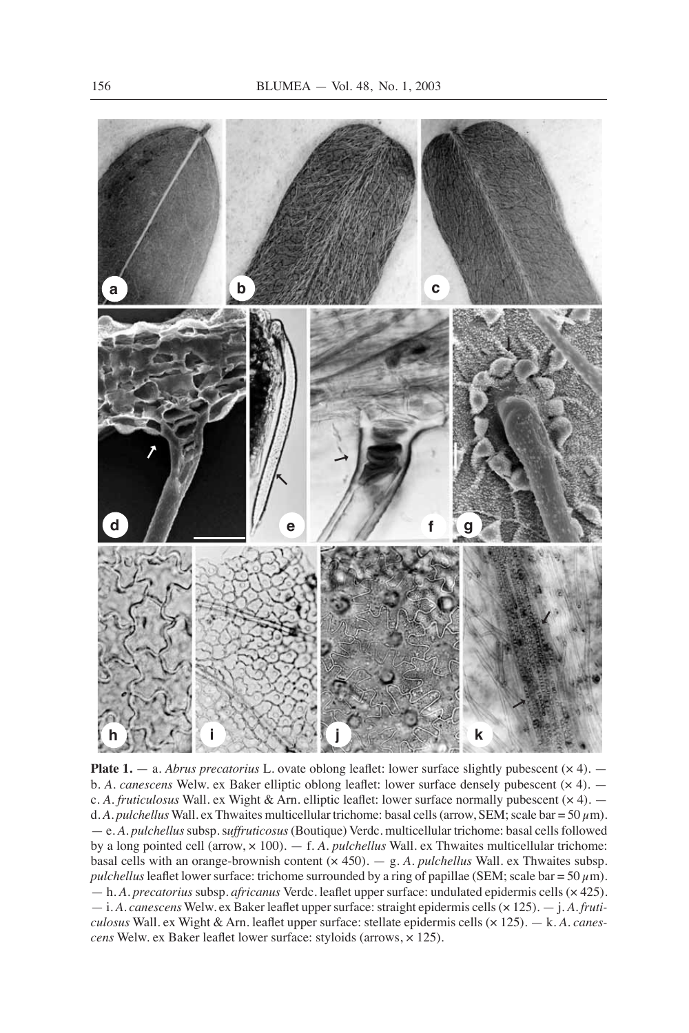

**Plate 1.** — a. *Abrus precatorius* L. ovate oblong leaflet: lower surface slightly pubescent ( $\times$  4). b. *A. canescens* Welw. ex Baker elliptic oblong leaflet: lower surface densely pubescent (× 4). c. *A. fruticulosus* Wall. ex Wight & Arn. elliptic leaflet: lower surface normally pubescent (× 4). d. A. *pulchellus* Wall. ex Thwaites multicellular trichome: basal cells (arrow, SEM; scale bar = 50  $\mu$ m). — e. *A. pulchellus* subsp. s*uffruticosus* (Boutique) Verdc. multicellular trichome: basal cells followed by a long pointed cell (arrow, × 100). — f. *A. pulchellus* Wall. ex Thwaites multicellular trichome: basal cells with an orange-brownish content (× 450). — g. *A. pulchellus* Wall. ex Thwaites subsp. *pulchellus leaflet lower surface: trichome surrounded by a ring of papillae (SEM; scale bar = 50*  $\mu$ *m).* — h. *A. precatorius* subsp. *africanus* Verdc. leaflet upper surface: undulated epidermis cells (× 425). — i. *A. canescens* Welw. ex Baker leaflet upper surface: straight epidermis cells (× 125). — j. *A. fruticulosus* Wall. ex Wight & Arn. leaflet upper surface: stellate epidermis cells (× 125). — k. *A. canescens* Welw. ex Baker leaflet lower surface: styloids (arrows, × 125).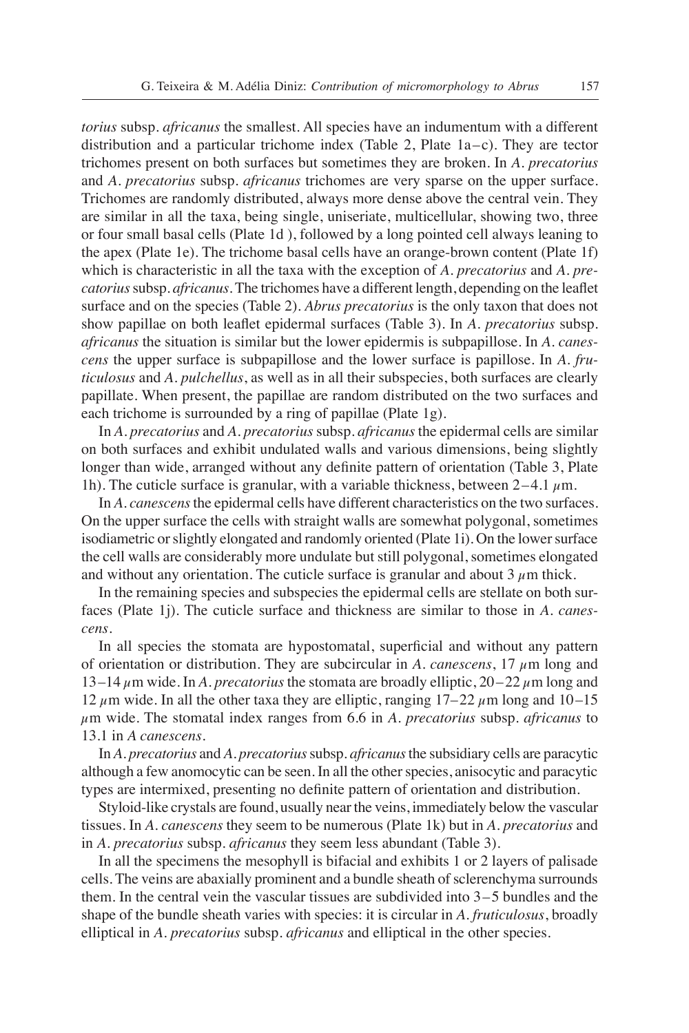*torius* subsp. *africanus* the smallest. All species have an indumentum with a different distribution and a particular trichome index (Table 2, Plate 1a–c). They are tector trichomes present on both surfaces but sometimes they are broken. In *A. precatorius* and *A. precatorius* subsp. *africanus* trichomes are very sparse on the upper surface. Trichomes are randomly distributed, always more dense above the central vein. They are similar in all the taxa, being single, uniseriate, multicellular, showing two, three or four small basal cells (Plate 1d ), followed by a long pointed cell always leaning to the apex (Plate 1e). The trichome basal cells have an orange-brown content (Plate 1f) which is characteristic in all the taxa with the exception of *A. precatorius* and *A. precatorius* subsp. *africanus*. The trichomes have a different length, depending on the leaflet surface and on the species (Table 2). *Abrus precatorius* is the only taxon that does not show papillae on both leaflet epidermal surfaces (Table 3). In *A. precatorius* subsp. *africanus* the situation is similar but the lower epidermis is subpapillose. In *A. canescens* the upper surface is subpapillose and the lower surface is papillose. In *A. fruticulosus* and *A. pulchellus*, as well as in all their subspecies, both surfaces are clearly papillate. When present, the papillae are random distributed on the two surfaces and each trichome is surrounded by a ring of papillae (Plate 1g).

In *A. precatorius* and *A. precatorius* subsp. *africanus* the epidermal cells are similar on both surfaces and exhibit undulated walls and various dimensions, being slightly longer than wide, arranged without any definite pattern of orientation (Table 3, Plate 1h). The cuticle surface is granular, with a variable thickness, between  $2-4.1 \mu m$ .

In *A. canescens* the epidermal cells have different characteristics on the two surfaces. On the upper surface the cells with straight walls are somewhat polygonal, sometimes isodiametric or slightly elongated and randomly oriented (Plate 1i). On the lower surface the cell walls are considerably more undulate but still polygonal, sometimes elongated and without any orientation. The cuticle surface is granular and about  $3 \mu$ m thick.

 In the remaining species and subspecies the epidermal cells are stellate on both surfaces (Plate 1j). The cuticle surface and thickness are similar to those in *A. canescens*.

 In all species the stomata are hypostomatal, superficial and without any pattern of orientation or distribution. They are subcircular in A. *canescens*,  $17 \mu m$  long and 13–14  $\mu$ m wide. In A. *precatorius* the stomata are broadly elliptic, 20–22  $\mu$ m long and 12  $\mu$ m wide. In all the other taxa they are elliptic, ranging 17–22  $\mu$ m long and 10–15 µm wide. The stomatal index ranges from 6.6 in *A. precatorius* subsp. *africanus* to 13.1 in *A canescens*.

In *A. precatorius* and *A. precatorius* subsp. *africanus* the subsidiary cells are paracytic although a few anomocytic can be seen. In all the other species, anisocytic and paracytic types are intermixed, presenting no definite pattern of orientation and distribution.

 Styloid-like crystals are found, usually near the veins, immediately below the vascular tissues. In *A. canescens* they seem to be numerous (Plate 1k) but in *A. precatorius* and in *A. precatorius* subsp. *africanus* they seem less abundant (Table 3).

 In all the specimens the mesophyll is bifacial and exhibits 1 or 2 layers of palisade cells. The veins are abaxially prominent and a bundle sheath of sclerenchyma surrounds them. In the central vein the vascular tissues are subdivided into 3–5 bundles and the shape of the bundle sheath varies with species: it is circular in *A. fruticulosus*, broadly elliptical in *A. precatorius* subsp. *africanus* and elliptical in the other species.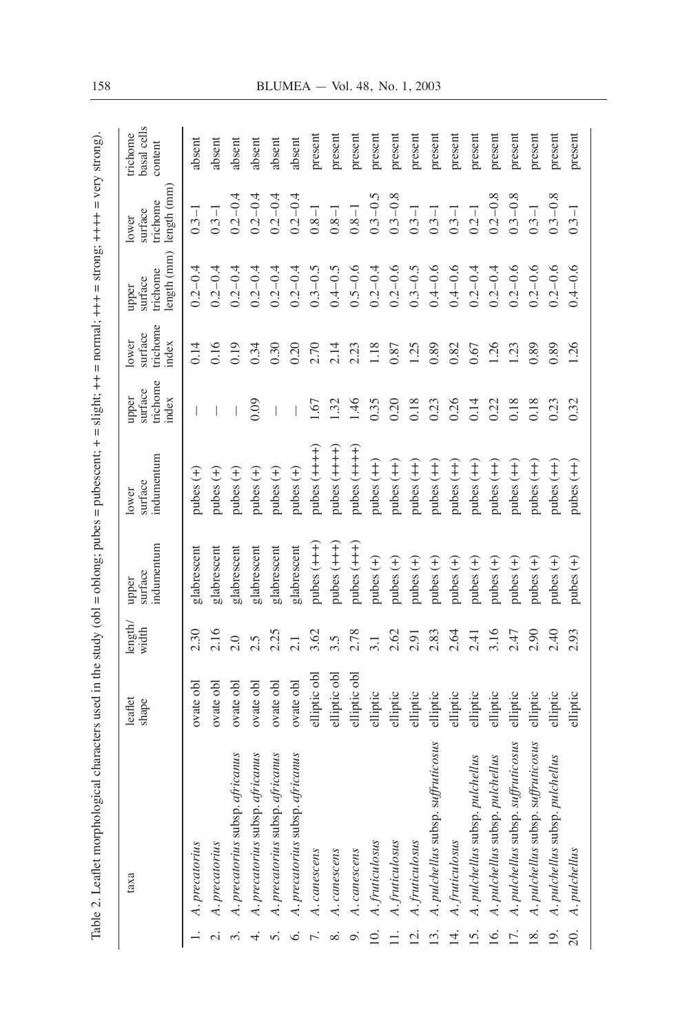|           | Table 2. Leaflet morphological characters used in the study (obl = oblong; pubes = pubescent; + = slight; + + = normal; + + + = strong; + + = xtrong; |                    |                  |                                |                                |                                       |                                       |                                            |                                             |                                    |
|-----------|-------------------------------------------------------------------------------------------------------------------------------------------------------|--------------------|------------------|--------------------------------|--------------------------------|---------------------------------------|---------------------------------------|--------------------------------------------|---------------------------------------------|------------------------------------|
|           | taxa                                                                                                                                                  | leaflet<br>$shape$ | length/<br>width | indumentum<br>surface<br>upper | indumentum<br>surface<br>lower | trichome<br>surface<br>index<br>upper | trichome<br>surface<br>lower<br>index | ength (mm)<br>trichome<br>surface<br>upper | length (mm)<br>trichome<br>surface<br>lower | basal cells<br>trichome<br>content |
|           | A. precatorius                                                                                                                                        | ovate obl          | 2.30             | glabrescent                    | $_{\text{pubes (+)}}$          |                                       | 0.14                                  | $0.2 - 0.4$                                | $0.3 - 1$                                   | absent                             |
|           | A. precatorius                                                                                                                                        | ovate obl          | 2.16             | glabrescent                    | pubes (+)                      |                                       | 0.16                                  | $0.2 - 0.4$                                | $0.3 - 1$                                   | absent                             |
|           | A. precatorius subsp. africanus                                                                                                                       | ovate obl          | 2.0              | glabrescent                    | pubes (+)                      |                                       | 0.19                                  | $0.2 - 0.4$                                | $0.2 - 0.4$                                 | absent                             |
|           | A. precatorius subsp. africanus                                                                                                                       | ovate obl          | 2.5              | glabrescent                    | $_{\text{pubes (+)}}$          | 0.09                                  | 0.34                                  | $0.2 - 0.4$                                | $0.2 - 0.4$                                 | absent                             |
|           | A. precatorius subsp. africanus                                                                                                                       | ovate obl          | 2.25             | glabrescent                    | $_{\text{pubes (+)}}$          | $\overline{\phantom{a}}$              | 0.30                                  | $0.2 - 0.4$                                | $0.2 - 0.4$                                 | absent                             |
| Ġ         | A. precatorius subsp. africanus                                                                                                                       | ovate obl          | 2.1              | glabrescent                    | $_{\text{pubes (+)}}$          |                                       | 0.20                                  | $0.2 - 0.4$                                | $0.2 - 0.4$                                 | absent                             |
|           | A. canescens                                                                                                                                          | elliptic obl       | 3.62             | $_{\text{pubes} (+++)}$        | $_{\text{pubes} (+++)}$        | 1.67                                  | 2.70                                  | $0.3 - 0.5$                                | $0.8 - 1$                                   | present                            |
| $\infty$  | A. canescens                                                                                                                                          | elliptic obl       | 3.5              | $_{\text{pubes} (+++)}$        | $_{\text{pubes} (+++)}$        | 1.32                                  | 2.14                                  | $0.4 - 0.5$                                | $0.8 - 1$                                   | present                            |
| o.        | A. canescens                                                                                                                                          | elliptic obl       | 2.78             | $_{\text{pubes (+++)}}$        | $_{\text{pubes} (+++)}$        | 1.46                                  | 2.23                                  | $0.5 - 0.6$                                | $0.8 - 1$                                   | present                            |
| Ξ.        | A. fruticulosus                                                                                                                                       | elliptic           | 3.1              | $_{\text{pubes (+)}}$          | $_{\text{pubes (++)}}$         | 0.35                                  | 1.18                                  | $0.2 - 0.4$                                | $0.3 - 0.5$                                 | present                            |
|           | A. fruticulosus                                                                                                                                       | elliptic           | 2.62             | $_{\text{pubes}}$ (+)          | $_{\text{pubes (++)}}$         | 0.20                                  | 0.87                                  | $0.2 - 0.6$                                | $0.3 - 0.8$                                 | present                            |
|           | A. fruticulosus                                                                                                                                       | elliptic           | 2.91             | $_{\text{pubes (+)}}$          | $_{\text{pubes (++)}}$         | 0.18                                  | 1.25                                  | $0.3 - 0.5$                                | $0.3 - 1$                                   | present                            |
| 13.       | A. pulchellus subsp. suffruticosus                                                                                                                    | elliptic           | 2.83             | $_{\text{pubes (+)}}$          | $_{\text{pubes (+)}}$          | 0.23                                  | 0.89                                  | $0.4 - 0.6$                                | $0.3 - 1$                                   | present                            |
|           | A. fruticulosus                                                                                                                                       | elliptic           | 2.64             | $_{\text{pubes (+)}}$          | $_{\text{pubes (++)}}$         | 0.26                                  | 0.82                                  | $0.4 - 0.6$                                | $0.3 - 1$                                   | present                            |
| <u>is</u> | A. pulchellus subsp. pulchellus                                                                                                                       | elliptic           | 2.41             | $_{\text{pubes (+)}}$          | $_{\text{pubes (++)}}$         | 0.14                                  | 0.67                                  | $0.2 - 0.4$                                | $0.2 - 1$                                   | present                            |
|           | A. pulchellus subsp. pulchellus                                                                                                                       | elliptic           | 3.16             | $_{\text{pubes (+)}}$          | $_{\text{pubes (++)}}$         | 0.22                                  | 1.26                                  | $0.2 - 0.4$                                | $0.2 - 0.8$                                 | present                            |
|           | A. pulchellus subsp. suffruticosus                                                                                                                    | elliptic           | 2.47             | pubes (+)                      | $_{\text{pubes (++)}}$         | 0.18                                  | 1.23                                  | $0.2 - 0.6$                                | $0.3 - 0.8$                                 | present                            |
|           | A. pulchellus subsp. suffruticosus                                                                                                                    | elliptic           | 2.90             | $_{\text{pubes (+)}}$          | $_{\text{pubes (++)}}$         | 0.18                                  | 0.89                                  | $0.2 - 0.6$                                | $0.3 - 1$                                   | present                            |
|           | 19. A. pulchellus subsp. pulchellus                                                                                                                   | elliptic           | 2.40             | $_{\text{pubes (+)}}$          | $_{\text{pubes (++)}}$         | 0.23                                  | 0.89                                  | $0.2 - 0.6$                                | $0.3 - 0.8$                                 | present                            |
|           | 20. A. pulchellus                                                                                                                                     | elliptic           | 2.93             | $_{\text{pubes (+)}}$          | $_{\text{pubes (++)}}$         | 0.32                                  | 1.26                                  | $0.4 - 0.6$                                | $0.3 - 1$                                   | present                            |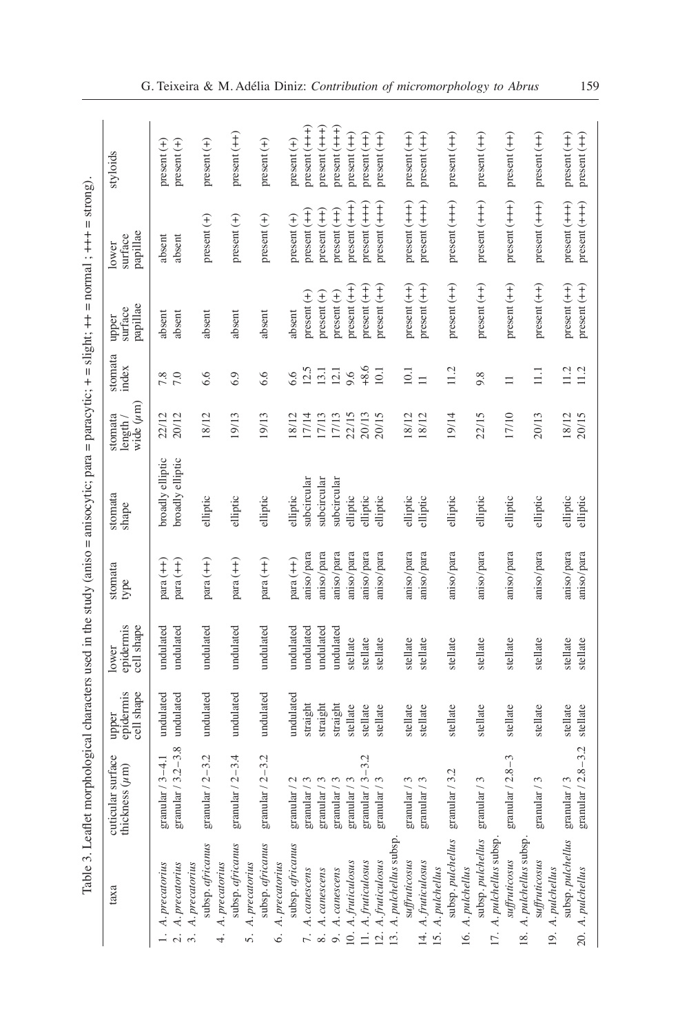|                                | Table 3. Leaflet morphological characters used in the study (aniso = anisocytic; para = paracytic; + = slight; ++ = normal ; +++ = strong) |                                  |                                  |                 |                  |                                       |                  |                              |                              |                 |
|--------------------------------|--------------------------------------------------------------------------------------------------------------------------------------------|----------------------------------|----------------------------------|-----------------|------------------|---------------------------------------|------------------|------------------------------|------------------------------|-----------------|
| taxa                           | cuticular surface<br>thickness $(\mu m)$                                                                                                   | epidermis<br>cell shape<br>upper | epidermis<br>cell shape<br>lower | stomata<br>type | stomata<br>shape | wide $(\mu m)$<br>stomata<br>length / | stomata<br>index | papillae<br>surface<br>upper | papillae<br>surface<br>lower | styloids        |
| 1. A. precatorius              | granular $/$ 3-4.1                                                                                                                         | undulated                        | undulated                        | $para (++)$     | broadly elliptic | 22/12                                 | 7.8<br>7.0       | absent                       | absent                       | $present (+)$   |
| 2. A. precatorius              | granular / 3.2-3.8                                                                                                                         | undulated                        | undulated                        | $para (++)$     | broadly elliptic | 20/12                                 |                  | absent                       | absent                       | $present (+)$   |
| 3. A. precatorius              |                                                                                                                                            |                                  |                                  |                 |                  |                                       |                  |                              |                              |                 |
| subsp. africanus               | granular $/ 2 - 3.2$                                                                                                                       | undulated                        | undulated                        | para $(++)$     | elliptic         | 18/12                                 | 6.6              | absent                       | $present (+)$                | $present (+)$   |
| 4. A. precatorius              |                                                                                                                                            |                                  |                                  |                 |                  |                                       |                  |                              |                              |                 |
| subsp. africanus               | granular $/ 2 - 3.4$                                                                                                                       | undulated                        | undulated                        | $para (++)$     | elliptic         | 19/13                                 | 6.9              | absent                       | $present (+)$                | present $(++)$  |
| 5. A. precatorius              |                                                                                                                                            |                                  |                                  |                 |                  |                                       |                  |                              |                              |                 |
| subsp. africanus               | granular / $2-3.2$                                                                                                                         | undulated                        | undulated                        | para $(++)$     | elliptic         | 19/13                                 | 6.6              | absent                       | $present (+)$                | $present (+)$   |
| A. precatorius<br>Ġ.           |                                                                                                                                            |                                  |                                  |                 |                  |                                       |                  |                              |                              |                 |
| subsp. africanus               | granular $/$ 2                                                                                                                             | undulated                        | undulated                        | $para (++)$     | elliptic         | 8/12                                  | 6.6              | absent                       | $present (+)$                | present $(+)$   |
| 7. A. canescens                | $\operatorname{granular}$ / $3$                                                                                                            | straight                         | undulated                        | aniso/para      | subcircular      | 17/14                                 | 12.5             | $present (+)$                | $present (++)$               | $present (+++)$ |
| 8. A. canescens                | granular / $\sqrt{3}$                                                                                                                      | straight                         | undulated                        | aniso/para      | subcircular      | 17/13                                 |                  | $present (+)$                | $present (++)$               | $present (+++)$ |
| 9. A. canescens                | $\operatorname{granular}$ / $3$                                                                                                            | straight                         | undulated                        | aniso/para      | subcircular      | 17/13                                 | 12.1             | $present (+)$                | $present (++)$               | $present (+++)$ |
| 10. A. fruticulosus            | granular $/3$                                                                                                                              | stellate                         | stellate                         | aniso/para      | elliptic         | 22/15                                 | 9.6              | $present (++)$               | $present (+++)$              | $present (++)$  |
| 11. A. fruticulosus            | granular $/3 - 3.2$                                                                                                                        | stellate                         | stellate                         | aniso/para      | elliptic         | 20/13                                 | $+8.6$           | $present (++)$               | $present (+++)$              | present $(++)$  |
| 12. A. fruticulosus            | granular $/3$                                                                                                                              | stellate                         | stellate                         | aniso/para      | elliptic         | 20/15                                 | 10.1             | $present (++)$               | $present (+++)$              | $present (++)$  |
| 13. A. pulchellus subsp        |                                                                                                                                            |                                  |                                  |                 |                  |                                       |                  |                              |                              |                 |
| suffruticosus                  |                                                                                                                                            | stellate                         | stellate                         | aniso/para      | elliptic         | 18/12                                 | 10.1             | $present (++)$               | $present (+++)$              | $present (++)$  |
| 14. A. fruticulosus            | $\begin{array}{l} \mbox{grandar}\; / \; \mbox{3} \\ \mbox{grandar}\; / \; \mbox{3} \\ \end{array}$                                         | stellate                         | stellate                         | aniso/para      | elliptic         | 18/12                                 | $\equiv$         | $present (++)$               | $present (+++)$              | $present (++)$  |
| 15. A. pulchellus              |                                                                                                                                            |                                  |                                  |                 |                  |                                       |                  |                              |                              |                 |
| subsp. pulchellus              | granular $/3.2$                                                                                                                            | stellate                         | stellate                         | aniso/para      | elliptic         | 19/14                                 | 11.2             | $present (++)$               | $present (+++)$              | present $(++)$  |
| 16. A. pulchellus              |                                                                                                                                            |                                  |                                  |                 |                  |                                       |                  |                              |                              |                 |
| subsp. pulchellus granular / 3 |                                                                                                                                            | stellate                         | stellate                         | aniso/para      | elliptic         | 22/15                                 | 9.8              | $present (++)$               | $present (+++)$              | $present (++)$  |
| 17. A. pulchellus subsp.       |                                                                                                                                            |                                  |                                  |                 |                  |                                       |                  |                              |                              |                 |
| suffruticosus                  | granular $/ 2.8 - 3$                                                                                                                       | stellate                         | stellate                         | aniso/para      | elliptic         | 17/10                                 | $\equiv$         | $present (++)$               | $present (+++)$              | $present (++)$  |
| 18. A. pulchellus subsp.       |                                                                                                                                            |                                  |                                  |                 |                  |                                       |                  |                              |                              |                 |
| suffruticosus                  | $\operatorname{granular}/3$                                                                                                                | stellate                         | stellate                         | aniso/para      | elliptic         | 20/13                                 | $\Xi$            | $present (++)$               | $present (+++)$              | $present (++)$  |
| 19. A. pulchellus              |                                                                                                                                            |                                  |                                  |                 |                  |                                       |                  |                              |                              |                 |
| subsp. pulchellus              | $\operatorname{granular}/3$                                                                                                                | stellate                         | stellate                         | aniso/para      | elliptic         | 18/12                                 | 11.2             | present $(++)$               | $present (+++)$              | $present (++)$  |
| 20. A. pulchellus              | granular $/$ 2.8 $-3.2$                                                                                                                    | stellate                         | stellate                         | aniso/para      | elliptic         | 20/15                                 | 11.2             | $present (++)$               | $present (+++)$              | $present (++)$  |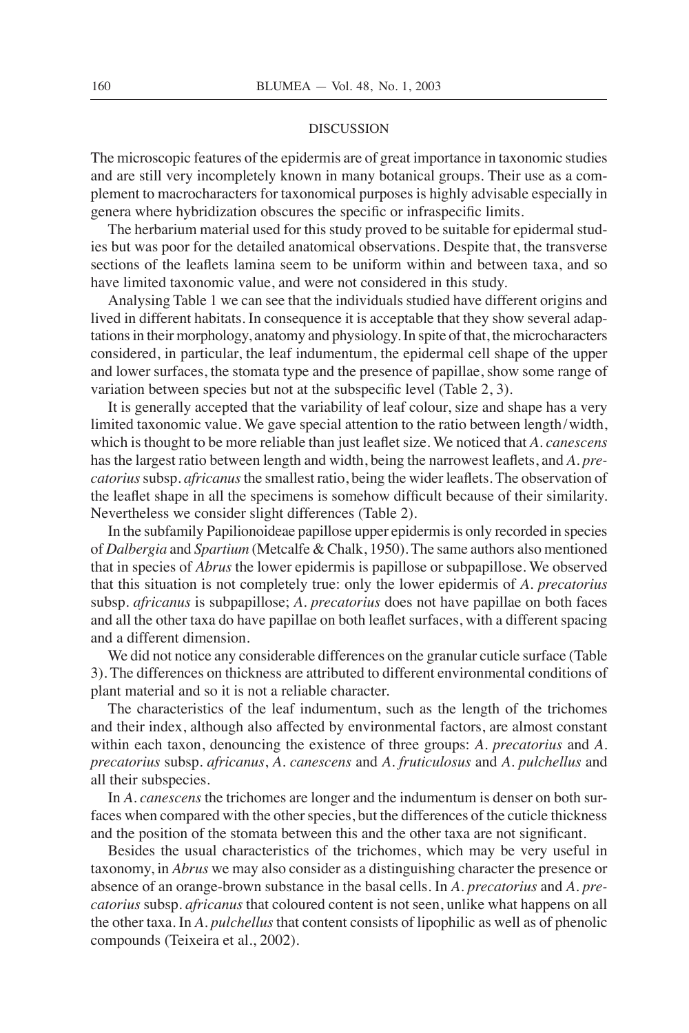#### **DISCUSSION**

The microscopic features of the epidermis are of great importance in taxonomic studies and are still very incompletely known in many botanical groups. Their use as a complement to macrocharacters for taxonomical purposes is highly advisable especially in genera where hybridization obscures the specific or infraspecific limits.

 The herbarium material used for this study proved to be suitable for epidermal studies but was poor for the detailed anatomical observations. Despite that, the transverse sections of the leaflets lamina seem to be uniform within and between taxa, and so have limited taxonomic value, and were not considered in this study.

 Analysing Table 1 we can see that the individuals studied have different origins and lived in different habitats. In consequence it is acceptable that they show several adaptations in their morphology, anatomy and physiology. In spite of that, the microcharacters considered, in particular, the leaf indumentum, the epidermal cell shape of the upper and lower surfaces, the stomata type and the presence of papillae, show some range of variation between species but not at the subspecific level (Table 2, 3).

 It is generally accepted that the variability of leaf colour, size and shape has a very limited taxonomic value. We gave special attention to the ratio between length/width, which is thought to be more reliable than just leaflet size. We noticed that *A. canescens* has the largest ratio between length and width, being the narrowest leaflets, and *A. precatorius* subsp. *africanus* the smallest ratio, being the wider leaflets. The observation of the leaflet shape in all the specimens is somehow difficult because of their similarity. Nevertheless we consider slight differences (Table 2).

 In the subfamily Papilionoideae papillose upper epidermis is only recorded in species of *Dalbergia* and *Spartium* (Metcalfe & Chalk, 1950). The same authors also mentioned that in species of *Abrus* the lower epidermis is papillose or subpapillose. We observed that this situation is not completely true: only the lower epidermis of *A. precatorius* subsp. *africanus* is subpapillose; *A. precatorius* does not have papillae on both faces and all the other taxa do have papillae on both leaflet surfaces, with a different spacing and a different dimension.

 We did not notice any considerable differences on the granular cuticle surface (Table 3). The differences on thickness are attributed to different environmental conditions of plant material and so it is not a reliable character.

 The characteristics of the leaf indumentum, such as the length of the trichomes and their index, although also affected by environmental factors, are almost constant within each taxon, denouncing the existence of three groups: *A. precatorius* and *A. precatorius* subsp. *africanus*, *A. canescens* and *A. fruticulosus* and *A. pulchellus* and all their subspecies.

In *A. canescens* the trichomes are longer and the indumentum is denser on both surfaces when compared with the other species, but the differences of the cuticle thickness and the position of the stomata between this and the other taxa are not significant.

 Besides the usual characteristics of the trichomes, which may be very useful in taxonomy, in *Abrus* we may also consider as a distinguishing character the presence or absence of an orange-brown substance in the basal cells. In *A. precatorius* and *A. precatorius* subsp. *africanus* that coloured content is not seen, unlike what happens on all the other taxa. In *A. pulchellus* that content consists of lipophilic as well as of phenolic compounds (Teixeira et al., 2002).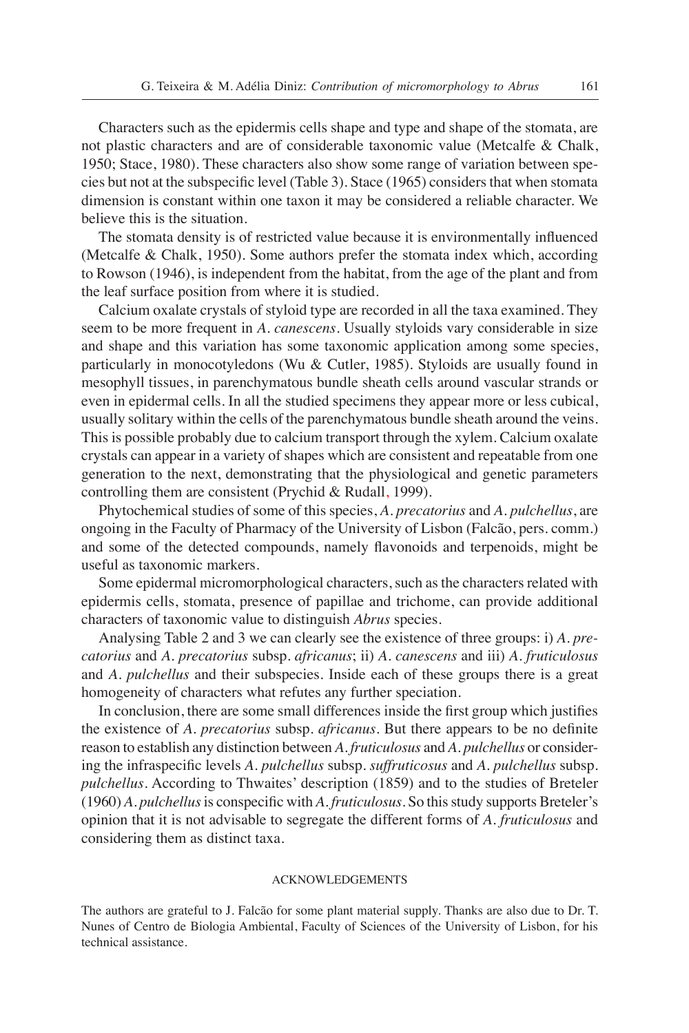Characters such as the epidermis cells shape and type and shape of the stomata, are not plastic characters and are of considerable taxonomic value (Metcalfe & Chalk, 1950; Stace, 1980). These characters also show some range of variation between species but not at the subspecific level (Table 3). Stace (1965) considers that when stomata dimension is constant within one taxon it may be considered a reliable character. We believe this is the situation.

 The stomata density is of restricted value because it is environmentally influenced (Metcalfe & Chalk, 1950). Some authors prefer the stomata index which, according to Rowson (1946), is independent from the habitat, from the age of the plant and from the leaf surface position from where it is studied.

 Calcium oxalate crystals of styloid type are recorded in all the taxa examined. They seem to be more frequent in *A. canescens*. Usually styloids vary considerable in size and shape and this variation has some taxonomic application among some species, particularly in monocotyledons (Wu & Cutler, 1985). Styloids are usually found in mesophyll tissues, in parenchymatous bundle sheath cells around vascular strands or even in epidermal cells. In all the studied specimens they appear more or less cubical, usually solitary within the cells of the parenchymatous bundle sheath around the veins. This is possible probably due to calcium transport through the xylem. Calcium oxalate crystals can appear in a variety of shapes which are consistent and repeatable from one generation to the next, demonstrating that the physiological and genetic parameters controlling them are consistent (Prychid & Rudall, 1999).

 Phytochemical studies of some of this species, *A. precatorius* and *A. pulchellus*, are ongoing in the Faculty of Pharmacy of the University of Lisbon (Falcão, pers. comm.) and some of the detected compounds, namely flavonoids and terpenoids, might be useful as taxonomic markers.

 Some epidermal micromorphological characters, such as the characters related with epidermis cells, stomata, presence of papillae and trichome, can provide additional characters of taxonomic value to distinguish *Abrus* species.

 Analysing Table 2 and 3 we can clearly see the existence of three groups: i) *A. precatorius* and *A. precatorius* subsp. *africanus*; ii) *A. canescens* and iii) *A. fruticulosus* and *A. pulchellus* and their subspecies. Inside each of these groups there is a great homogeneity of characters what refutes any further speciation.

 In conclusion, there are some small differences inside the first group which justifies the existence of *A. precatorius* subsp. *africanus*. But there appears to be no definite reason to establish any distinction between *A. fruticulosus* and *A. pulchellus* or considering the infraspecific levels *A. pulchellus* subsp. *suffruticosus* and *A. pulchellus* subsp. *pulchellus.* According to Thwaites' description (1859) and to the studies of Breteler (1960) *A. pulchellus* is conspecific with *A. fruticulosus*. So this study supports Breteler's opinion that it is not advisable to segregate the different forms of *A*. *fruticulosus* and considering them as distinct taxa.

#### Acknowledgements

The authors are grateful to J. Falcão for some plant material supply. Thanks are also due to Dr. T. Nunes of Centro de Biologia Ambiental, Faculty of Sciences of the University of Lisbon, for his technical assistance.